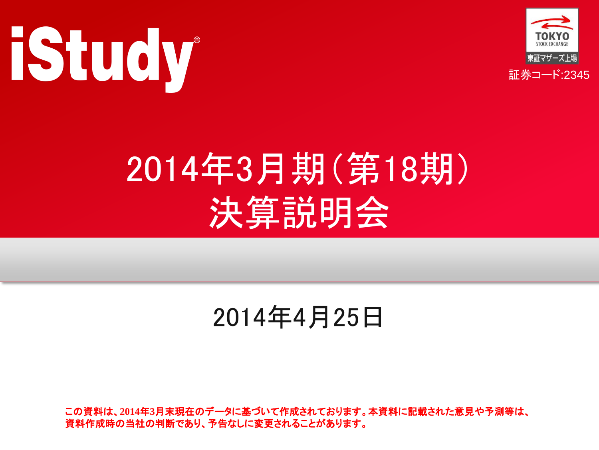



# 2014年3月期(第18期) 決算説明会

#### 2014年4月25日

この資料は、**2014**年**3**月末現在のデータに基づいて作成されております。本資料に記載された意見や予測等は、 資料作成時の当社の判断であり、予告なしに変更されることがあります。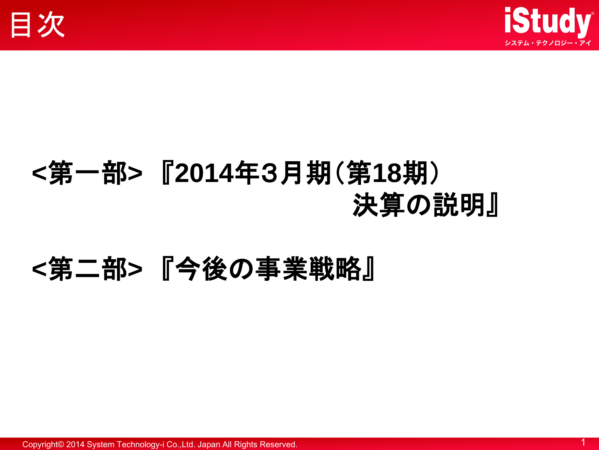



### **<**第一部**>** 『**2014**年3月期(第**18**期) 決算の説明』

#### **<**第二部**>** 『今後の事業戦略』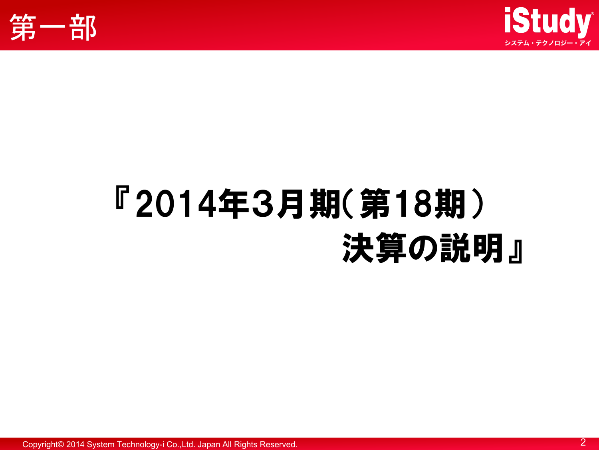



# 『2014年3月期(第18期) 決算の説明』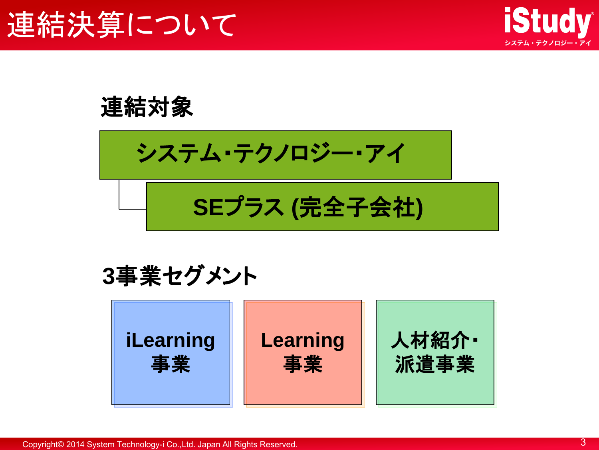

連結対象

システム・テクノロジー・アイ

**SE**プラス **(**完全子会社**)**

**3**事業セグメント

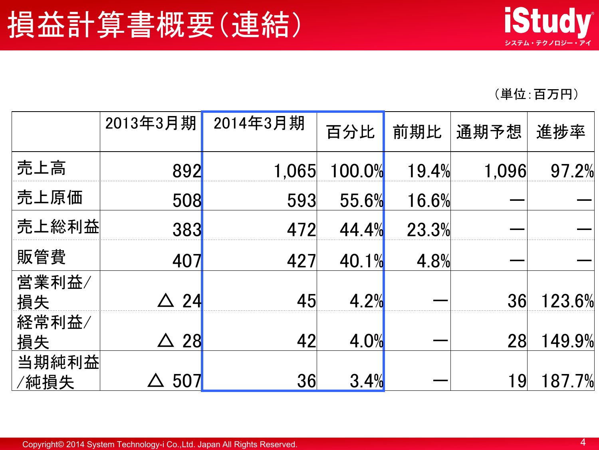(単位:百万円)

|               | 2013年3月期 | 2014年3月期 | 百分比    | 前期比   | 通期予想  | 進捗率      |
|---------------|----------|----------|--------|-------|-------|----------|
| 売上高           | 892      | 1,065    | 100.0% | 19.4% | 1,096 | 97.2%    |
| 売上原価          | 508      | 593      | 55.6%  | 16.6% |       |          |
| 売上総利益         | 383      | 472      | 44.4%  | 23.3% |       |          |
| 販管費           | 407      | 427      | 40.1%  | 4.8%  |       |          |
| 営業利益/<br>損失   | 24       | 45       | 4.2%   |       | 36    | 123.6%   |
| 経常利益/<br>損失   | 28       | 42       | 4.0%   |       | 28    | 149.9%   |
| 当期純利益<br>⁄純損失 | 507      | 36       | 3.4%   |       | 19    | $87.7\%$ |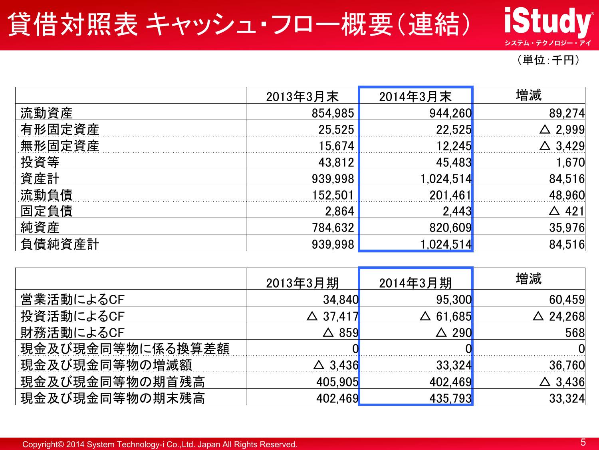#### 貸借対照表 キャッシュ・フロー概要(連結)

#### (単位:千円)

**iStudy** 

システム・テクノロジー・アイ

|        | 2013年3月末 | 2014年3月末 | 増減     |
|--------|----------|----------|--------|
| 流動資産   | 854,985  | 944,260  | 89,274 |
| 有形固定資産 | 25,525   | 22,525   | ,999   |
| 無形固定資産 | 5674     | 2.245    | 429    |
| 投資等    | 43,812   | 45,483   | ,670   |
| 資産計    | 939,998  | ,024,51  | 84,516 |
| 流動負債   | 152.50   | 201,461  |        |
| 固定負債   | 2,864    | 2,44:    | 421    |
| 純資産    | 784,632  | 820,609  | 35,976 |
| 負債純資産計 | 939.998  | .024.51  | 84,516 |

|                  | 2013年3月期 | 2014年3月期 | 増減             |
|------------------|----------|----------|----------------|
| 営業活動によるCF        | 34,840   | 95,300   | 60,459         |
| 投資活動によるCF        | 、37.417  | 61,685   | 24,268         |
| 財務活動によるCF        | 859      | 290      | 568            |
| 現金及び現金同等物に係る換算差額 |          |          |                |
| 現金及び現金同等物の増減額    | 3436     | 33.324   | 36.760         |
| 現金及び現金同等物の期首残高   | 405,905  | 402,469  | $\Delta$ 3,436 |
| 現金及び現金同等物の期末残高   |          | 435,793  | 33,324         |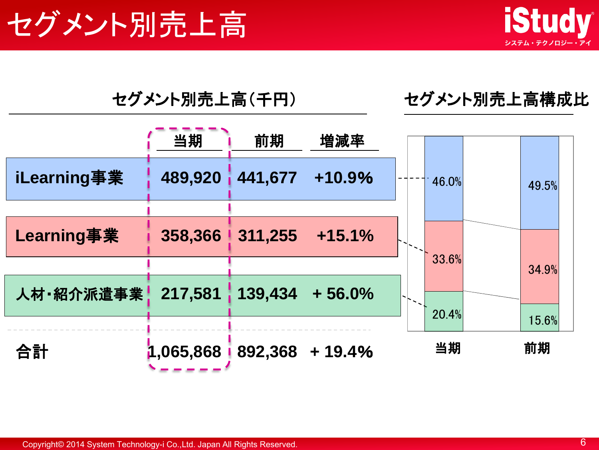



#### セグメント別売上高(千円) セグメント別売上高構成比

|             | 当期        | 前期                     | 増減率                |                |
|-------------|-----------|------------------------|--------------------|----------------|
| iLearning事業 | 489,920   | 441,677                | +10.9%             | 46.0%<br>49.5% |
|             |           |                        |                    |                |
| Learning事業  |           | 358,366 311,255 +15.1% |                    |                |
|             |           |                        |                    | 33.6%<br>34.9% |
| 人材 昭介派遣事業!  | 217,581   |                        | $139,434 + 56.0\%$ | 20.4%          |
|             |           |                        |                    | 15.6%          |
| 合計          | 1,065,868 |                        | 892,368 + 19.4%    | 当期<br>前期       |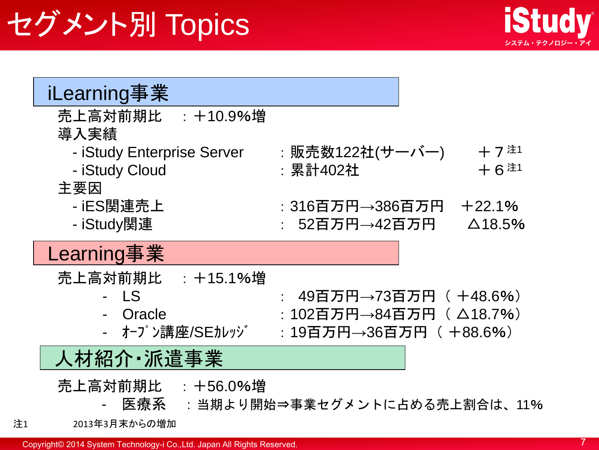## セグメント別 Topics



| iLearning事業                |                                  |
|----------------------------|----------------------------------|
| 売上高対前期比 : +10.9%増<br>導入実績  |                                  |
| - iStudy Enterprise Server | $+7$ $*1$<br>:販売数122社(サーバー)      |
| - iStudy Cloud             | $+6$ 注<br>:累計402社                |
| 主要因                        |                                  |
| - iES関連売上                  | :316百万円→386百万円<br>$+22.1%$       |
| - iStudy関連                 | : 52百万円→42百万円<br>$\Delta$ 18.5%  |
| Learning事業                 |                                  |
| 売上高対前期比 : +15.1%増          |                                  |
| - LS                       | 49百万円→73百万円( +48.6%)             |
| - Oracle                   | :102百万円→84百万円( △18.7%)           |
| - オープン講座/SEカレッジ            | : 19百万円→36百万円( +88.6%)           |
| 人材紹介 · 派遣事業                |                                  |
| 売上高対前期比 : +56.0%増          | 医療系 :当期より開始⇒事業セグメントに占める売上割合は、11% |
| 2013年3月末からの増加              |                                  |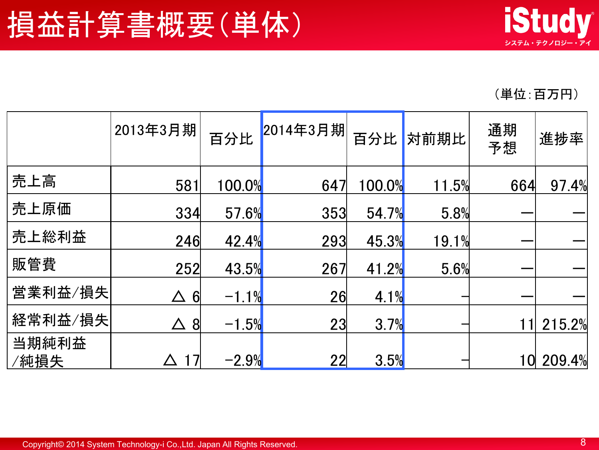(単位:百万円)

|               | 2013年3月期             | 百分比     | 2014年3月期 | 百分比    | 対前期比  | 通期<br>予想 | 進捗率    |
|---------------|----------------------|---------|----------|--------|-------|----------|--------|
| 売上高           | 581                  | 100.0%  | 647      | 100.0% | 11.5% | 664      | 97.4%  |
| 売上原価          | 334                  | 57.6%   | 353      | 54.7%  | 5.8%  |          |        |
| 売上総利益         | 246                  | 42.4%   | 293      | 45.3%  | 19.1% |          |        |
| 販管費           | 252                  | 43.5%   | 267      | 41.2%  | 5.6%  |          |        |
| 営業利益/損失       | $\Delta$<br>$6 \mid$ | $-1.1%$ | 26       | 4.1%   |       |          |        |
| 経常利益/損失       | $\Delta$<br>8        | $-1.5%$ | 23       | 3.7%   |       |          | 215.2% |
| 当期純利益<br>/純損失 | 17                   | $-2.9%$ | 22       | 3.5%   |       | $\bm{0}$ | 209.4% |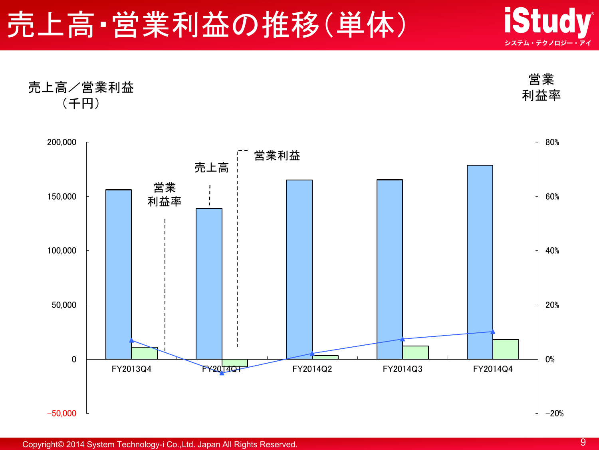### 売上高·営業利益の推移(単体)



売上高/営業利益 (千円) 営業 利益率

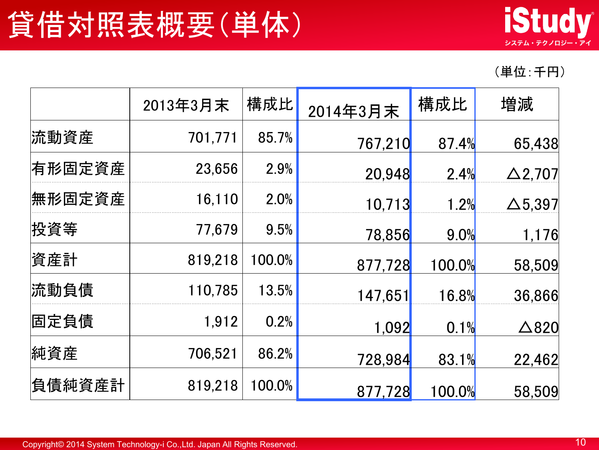

<sup>(</sup>単位:千円)

|        | 2013年3月末 | 構成比    | 2014年3月末 | 構成比    | 増減              |
|--------|----------|--------|----------|--------|-----------------|
| 流動資産   | 701,771  | 85.7%  | 767,210  | 87.4%  | 65,438          |
| 有形固定資産 | 23,656   | 2.9%   | 20,948   | 2.4%   | $\Delta$ 2,707  |
| 無形固定資産 | 16,110   | 2.0%   | 10,713   | 1.2%   | $\Delta$ 5,397  |
| 投資等    | 77,679   | 9.5%   | 78,856   | 9.0%   | 1,176           |
| 資産計    | 819,218  | 100.0% | 877,728  | 100.0% | 58,509          |
| 流動負債   | 110,785  | 13.5%  | 147,651  | 16.8%  | 36,866          |
| 固定負債   | 1,912    | 0.2%   | 1,092    | 0.1%   | $\triangle$ 820 |
| 純資産    | 706,521  | 86.2%  | 728,984  | 83.1%  | 22,462          |
| 負債純資産計 | 819,218  | 100.0% | 877,728  | 100.0% | 58,509          |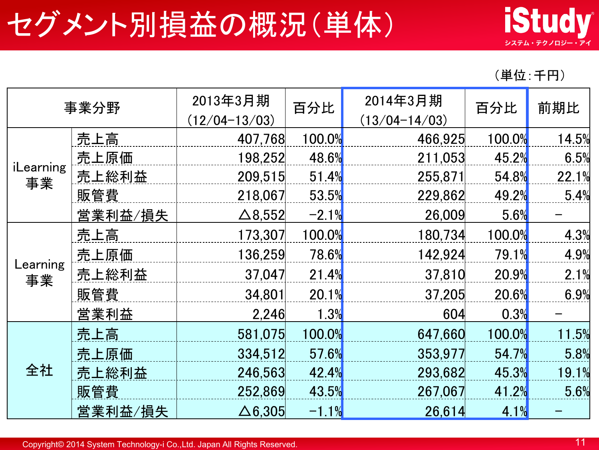### セグメント別損益の概況(単体)



(単位:千円)

| 事業分野            |                | 2013年3月期<br>$(12/04 - 13/03)$ | 百分比     | 2014年3月期<br>$(13/04 - 14/03)$ | 百分比    | 前期比   |
|-----------------|----------------|-------------------------------|---------|-------------------------------|--------|-------|
|                 | 売上高            | 407,768                       | 100.0%  | 466,925                       | 100.0% | 14.5% |
|                 | 売上原価           | 198,252                       | 48.6%   | 211,053                       | 45.2%  | 6.5%  |
| iLearning<br>事業 | 売上総利益          | 209,515                       | 51.4%   | 255,871                       | 54.8%  | 22.1% |
|                 | 販管費            | 218,067                       | 53.5%   | 229,862                       | 49.2%  | 5.4%  |
|                 | <u>営業利益/損失</u> | $\triangle$ 8,552             | $-2.1%$ | 26,009                        | 5.6%   |       |
| Learning<br>事業  | 売上高            | 173,307                       | 100.0%  | 180,734                       | 100.0% | 4.3%  |
|                 | 売上原価           | 136,259                       | 78.6%   | 142,924                       | 79.1%  | 4.9%  |
|                 | 売上総利益          | 37,047                        | 21.4%   | 37,810                        | 20.9%  | 2.1%  |
|                 | 販管費            | 34,801                        | 20.1%   | 37,205                        | 20.6%  | 6.9%  |
|                 | 営業利益           | 2,246                         | 1.3%    | 604                           | 0.3%   |       |
|                 | 売上高            | 581,075                       | 100.0%  | 647,660                       | 100.0% | 11.5% |
| 全社              | 売上原価           | 334,512                       | 57.6%   | 353,977                       | 54.7%  | 5.8%  |
|                 | 売上総利益          | 246,563                       | 42.4%   | 293,682                       | 45.3%  | 19.1% |
|                 | 販管費            | 252,869                       | 43.5%   | 267,067                       | 41.2%  | 5.6%  |
|                 | 営業利益/損失        | $\Delta$ 6,305                | $-1.1%$ | 26,614                        | 4.1%   |       |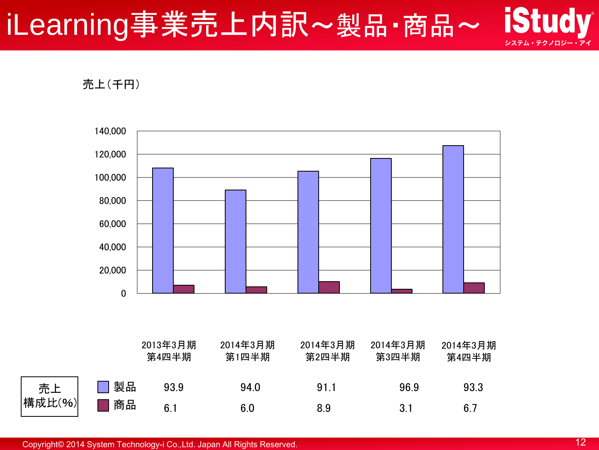#### **iStudy** iLearning事業売上内訳~製品·商品~ システム・テクノロジー・アイ

売上(千円)

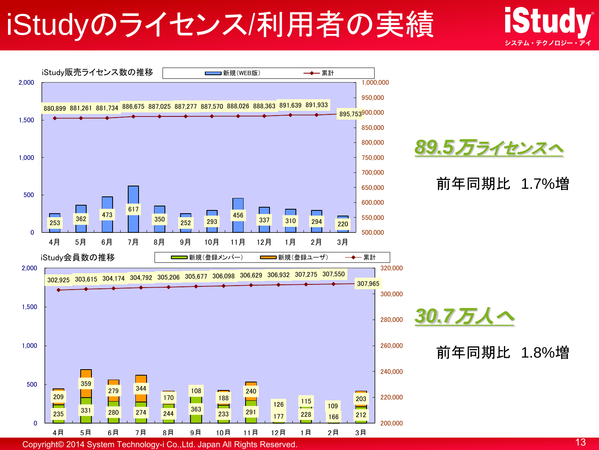## iStudyのライセンス/利用者の実績



Copyright© 2014 System Technology-i Co.,Ltd. Japan All Rights Reserved. 13

システム・テクノロジー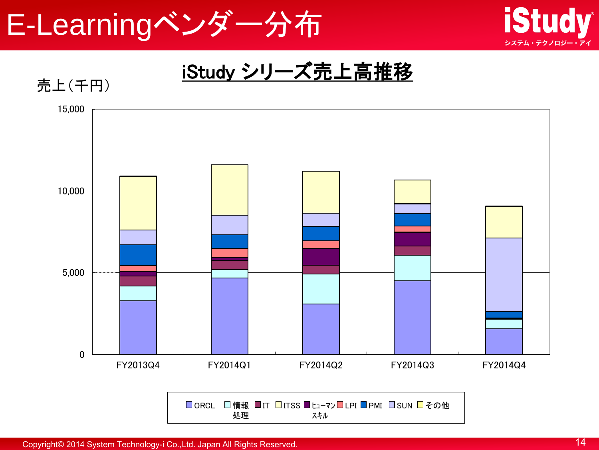



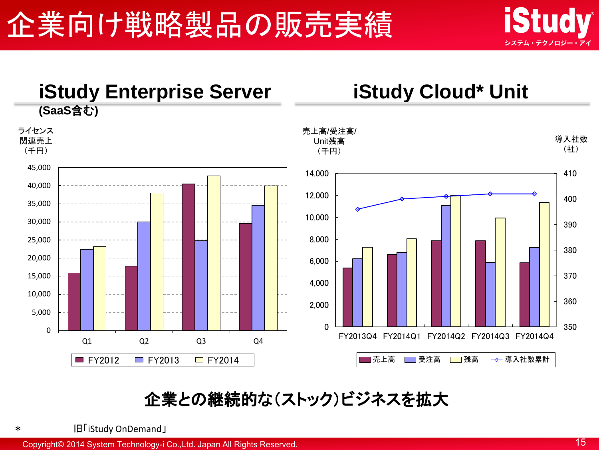



#### 企業との継続的な(ストック)ビジネスを拡大

\* 旧「iStudy OnDemand」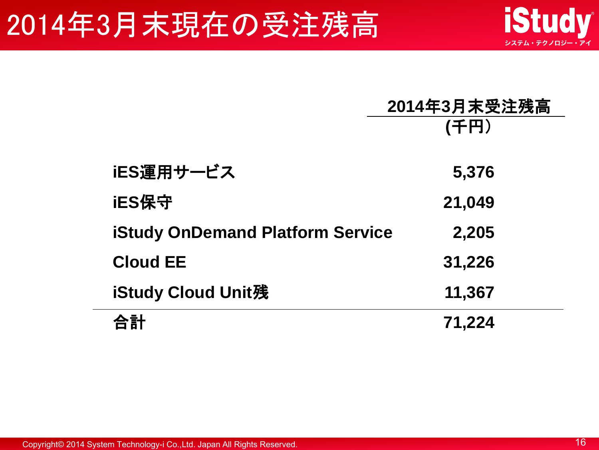### 2014年3月末現在の受注残高

|                                         | 2014年3月末受注残高 |
|-----------------------------------------|--------------|
|                                         | (千円)         |
|                                         |              |
| iES運用サービス                               | 5,376        |
| iES保守                                   | 21,049       |
| <b>iStudy OnDemand Platform Service</b> | 2,205        |
| <b>Cloud EE</b>                         | 31,226       |
| iStudy Cloud Unit残                      | 11,367       |
|                                         | 71,224       |

Copyright© 2014 System Technology-i Co.,Ltd. Japan All Rights Reserved. 16

**iStudy** 

システム・テクノロジー・アイ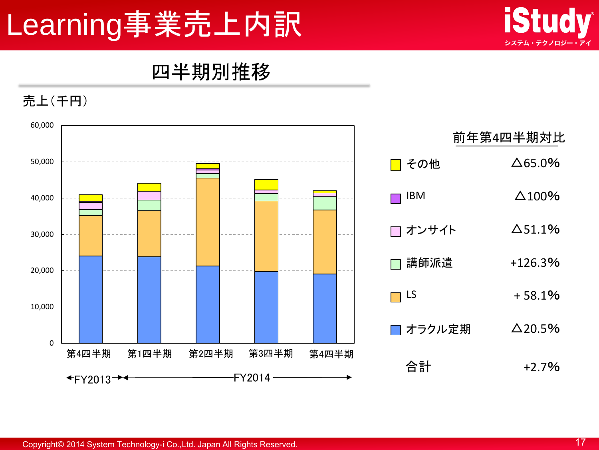## Learning事業売上内訳



#### 四半期別推移



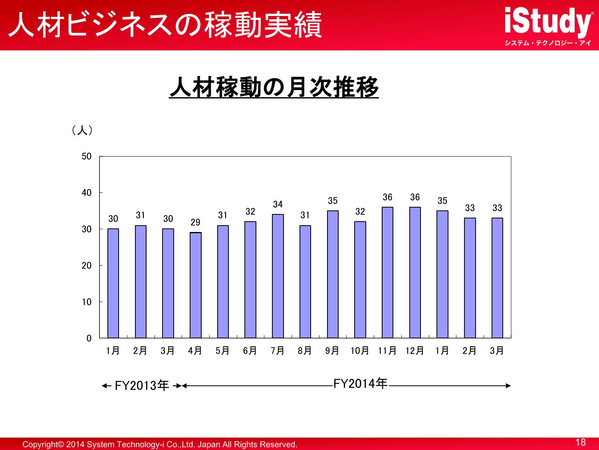



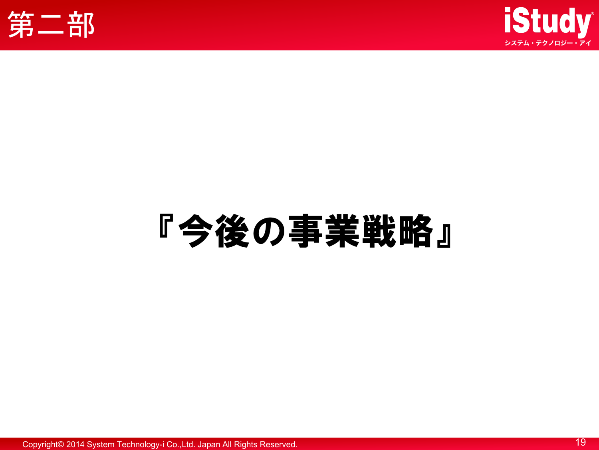



# 『今後の事業戦略』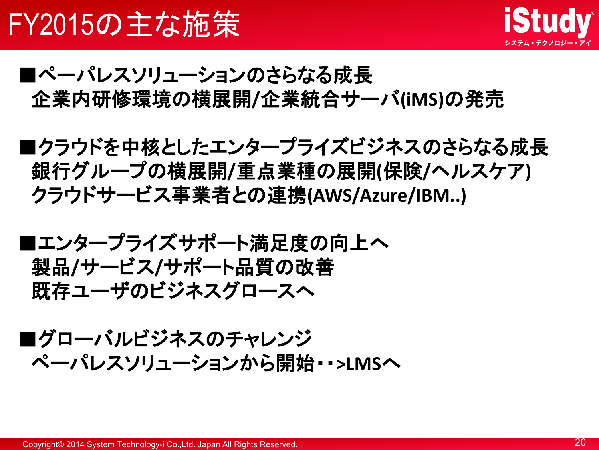

- ■ペーパレスソリューションのさらなる成長 企業内研修環境の横展開**/**企業統合サーバ**(iMS)**の発売
- ■クラウドを中核としたエンタープライズビジネスのさらなる成長 銀行グループの横展開**/**重点業種の展開**(**保険**/**ヘルスケア**)** クラウドサービス事業者との連携**(AWS/Azure/IBM..)**
- ■エンタープライズサポート満足度の向上へ 製品**/**サービス**/**サポート品質の改善 既存ユーザのビジネスグロースへ
- ■グローバルビジネスのチャレンジ ペーパレスソリューションから開始・・**>LMS**へ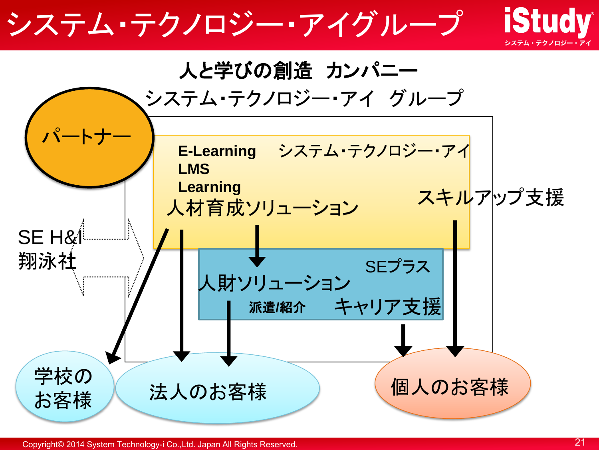#### **iStudy** システム・テクノロジー・アイグループ人と学びの創造 カンパニー システム・テクノロジー・アイ グループ パートナー E-Learning システム・テクノロジー・アイ **LMS Learning** スキルアップ支援 人材育成ソリューション SE H&I 翔泳社 SEプラス 人財ソリューション キャリア支援 派遣**/**紹介 学校の 法人のお客様 ) (個人のお客様 お客様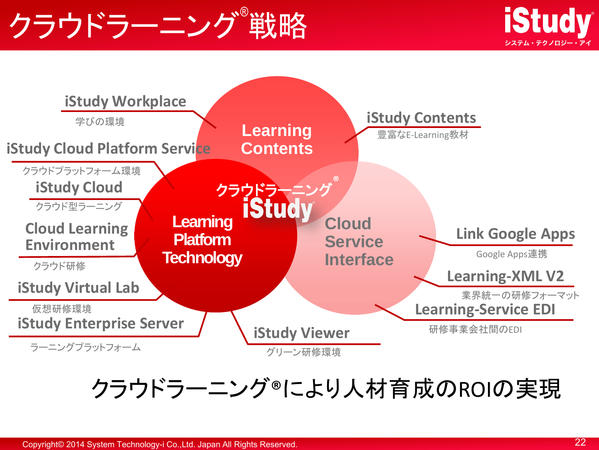## クラウドラーニング®戦略





#### クラウドラーニング®により人材育成のROIの実現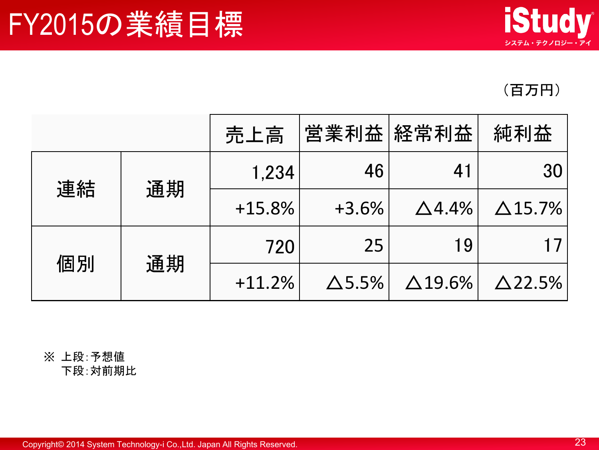### FY2015の業績目標



(百万円)

|    |    | 売上高      |               | 営業利益 経常利益      | 純利益             |
|----|----|----------|---------------|----------------|-----------------|
| 連結 | 通期 | 1,234    | 46            | 41             | 30 <sub>1</sub> |
|    |    | $+15.8%$ | $+3.6%$       | $\Delta$ 4.4%  | $\Delta$ 15.7%  |
| 個別 | 通期 | 720      | 25            | 19             |                 |
|    |    | $+11.2%$ | $\Delta$ 5.5% | $\Delta$ 19.6% | $\Delta$ 22.5%  |

#### ※ 上段:予想値 下段:対前期比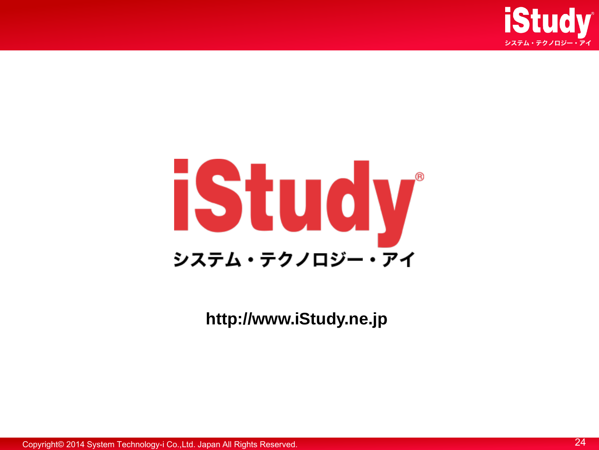



**http://www.iStudy.ne.jp**